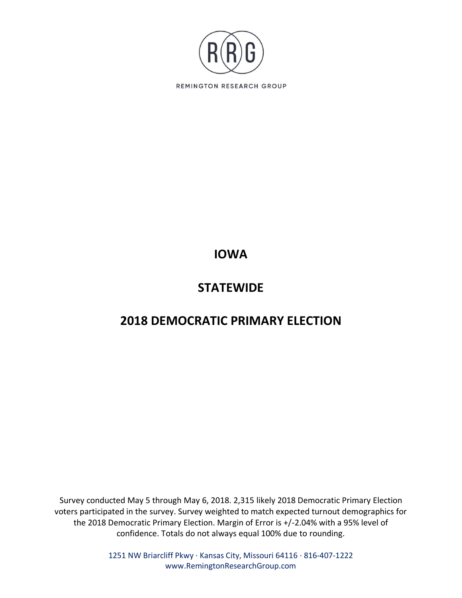

# **IOWA**

## **STATEWIDE**

# **2018 DEMOCRATIC PRIMARY ELECTION**

Survey conducted May 5 through May 6, 2018. 2,315 likely 2018 Democratic Primary Election voters participated in the survey. Survey weighted to match expected turnout demographics for the 2018 Democratic Primary Election. Margin of Error is +/-2.04% with a 95% level of confidence. Totals do not always equal 100% due to rounding.

> 1251 NW Briarcliff Pkwy ∙ Kansas City, Missouri 64116 ∙ 816-407-1222 www.RemingtonResearchGroup.com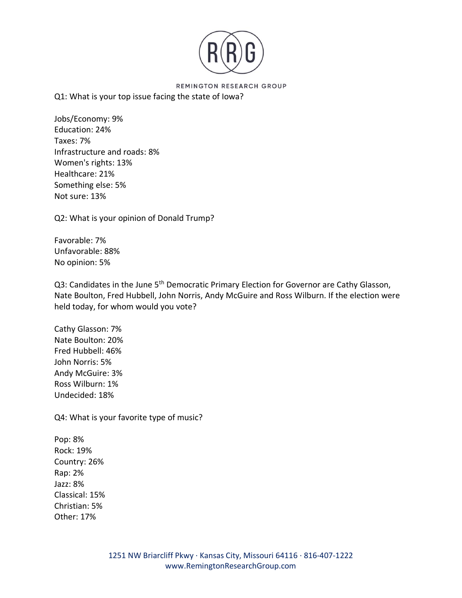

## Q1: What is your top issue facing the state of Iowa?

Jobs/Economy: 9% Education: 24% Taxes: 7% Infrastructure and roads: 8% Women's rights: 13% Healthcare: 21% Something else: 5% Not sure: 13%

Q2: What is your opinion of Donald Trump?

Favorable: 7% Unfavorable: 88% No opinion: 5%

Q3: Candidates in the June 5<sup>th</sup> Democratic Primary Election for Governor are Cathy Glasson, Nate Boulton, Fred Hubbell, John Norris, Andy McGuire and Ross Wilburn. If the election were held today, for whom would you vote?

Cathy Glasson: 7% Nate Boulton: 20% Fred Hubbell: 46% John Norris: 5% Andy McGuire: 3% Ross Wilburn: 1% Undecided: 18%

Q4: What is your favorite type of music?

Pop: 8% Rock: 19% Country: 26% Rap: 2% Jazz: 8% Classical: 15% Christian: 5% Other: 17%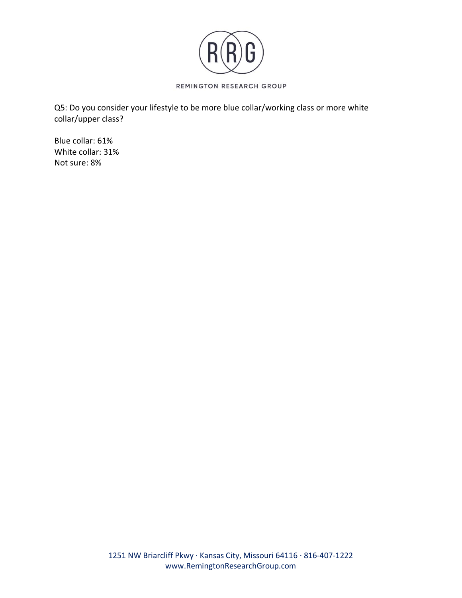

Q5: Do you consider your lifestyle to be more blue collar/working class or more white collar/upper class?

Blue collar: 61% White collar: 31% Not sure: 8%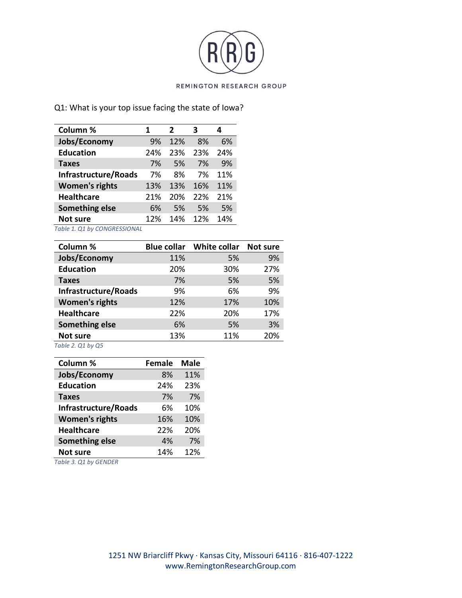

## Q1: What is your top issue facing the state of Iowa?

| Column %              | 1   | 2   | з   |     |
|-----------------------|-----|-----|-----|-----|
| Jobs/Economy          | 9%  | 12% | 8%  | 6%  |
| <b>Education</b>      | 24% | 23% | 23% | 24% |
| <b>Taxes</b>          | 7%  | 5%  | 7%  | 9%  |
| Infrastructure/Roads  | 7%  | 8%  | 7%  | 11% |
| <b>Women's rights</b> | 13% | 13% | 16% | 11% |
| <b>Healthcare</b>     | 21% | 20% | 22% | 21% |
| <b>Something else</b> | 6%  | .5% | .5% | 5%  |
| <b>Not sure</b>       | 12% | 14% | 12% | 14% |

*Table 1. Q1 by CONGRESSIONAL*

| Column %              |     | <b>Blue collar</b> White collar | Not sure |
|-----------------------|-----|---------------------------------|----------|
| Jobs/Economy          | 11% | 5%                              | 9%       |
| <b>Education</b>      | 20% | 30%                             | 27%      |
| <b>Taxes</b>          | 7%  | 5%                              | 5%       |
| Infrastructure/Roads  | 9%  | 6%                              | 9%       |
| <b>Women's rights</b> | 12% | 17%                             | 10%      |
| <b>Healthcare</b>     | 22% | 20%                             | 17%      |
| <b>Something else</b> | 6%  | 5%                              | 3%       |
| Not sure              | 13% | 11%                             | 20%      |
| Table 2. Q1 by Q5     |     |                                 |          |

| Column %              | <b>Female</b> | <b>Male</b> |
|-----------------------|---------------|-------------|
| Jobs/Economy          | 8%            | 11%         |
| <b>Education</b>      | 24%           | 23%         |
| <b>Taxes</b>          | 7%            | 7%          |
| Infrastructure/Roads  | 6%            | 10%         |
| <b>Women's rights</b> | 16%           | 10%         |
| <b>Healthcare</b>     | 22%           | 20%         |
| <b>Something else</b> | 4%            | 7%          |
| <b>Not sure</b>       | 14%           | 12%         |

*Table 3. Q1 by GENDER*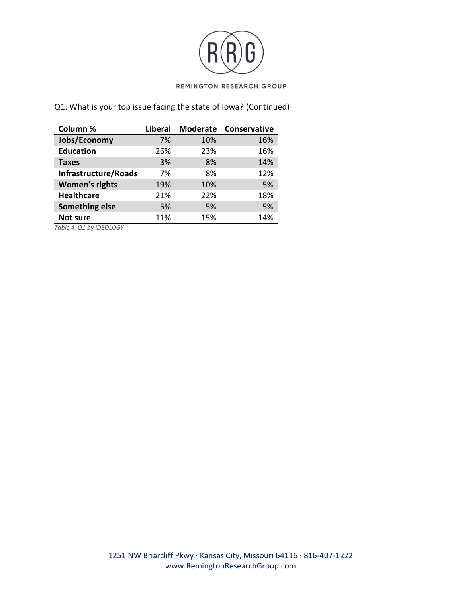

Q1: What is your top issue facing the state of Iowa? (Continued)

| Column %              | <b>Liberal</b> | <b>Moderate</b> | <b>Conservative</b> |
|-----------------------|----------------|-----------------|---------------------|
| Jobs/Economy          | 7%             | 10%             | 16%                 |
| <b>Education</b>      | 26%            | 23%             | 16%                 |
| <b>Taxes</b>          | 3%             | 8%              | 14%                 |
| Infrastructure/Roads  | 7%             | 8%              | 12%                 |
| <b>Women's rights</b> | 19%            | 10%             | 5%                  |
| <b>Healthcare</b>     | 21%            | 22%             | 18%                 |
| Something else        | 5%             | 5%              | 5%                  |
| <b>Not sure</b>       | 11%            | 15%             | 14%                 |

*Table 4. Q1 by IDEOLOGY*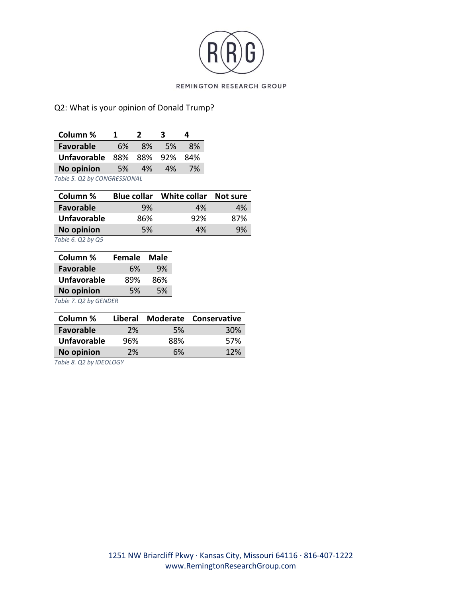

## Q2: What is your opinion of Donald Trump?

| Column %                     | 1.        | $\boldsymbol{z}$ | 2   |           |
|------------------------------|-----------|------------------|-----|-----------|
| <b>Favorable</b>             | 6%        | 8%               | .5% | <b>8%</b> |
| Unfavorable 88% 88% 92% 84%  |           |                  |     |           |
| <b>No opinion</b>            | <b>5%</b> | 4%               | 4%  | 7%        |
| Table 5. Q2 by CONGRESSIONAL |           |                  |     |           |

| Column %           | <b>Blue collar</b> | White collar | Not sure |
|--------------------|--------------------|--------------|----------|
| <b>Favorable</b>   | 9%                 | 4%           | 4%       |
| <b>Unfavorable</b> | 86%                | 92%          | 87%      |
| <b>No opinion</b>  | 5%                 | 4%           | 9%       |

*Table 6. Q2 by Q5*

| Column %              | <b>Female</b> | Male |
|-----------------------|---------------|------|
| <b>Favorable</b>      | 6%            | 9%   |
| <b>Unfavorable</b>    | 89%           | 86%  |
| <b>No opinion</b>     | 5%            | 5%   |
| Table 7. Q2 by GENDER |               |      |

| Column %           |     |           | Liberal Moderate Conservative |
|--------------------|-----|-----------|-------------------------------|
| Favorable          | 2%  | <b>5%</b> | 30 <sup>%</sup>               |
| <b>Unfavorable</b> | 96% | 88%       | 57%                           |
| <b>No opinion</b>  | 2%  | 6%        | 12%                           |

*Table 8. Q2 by IDEOLOGY*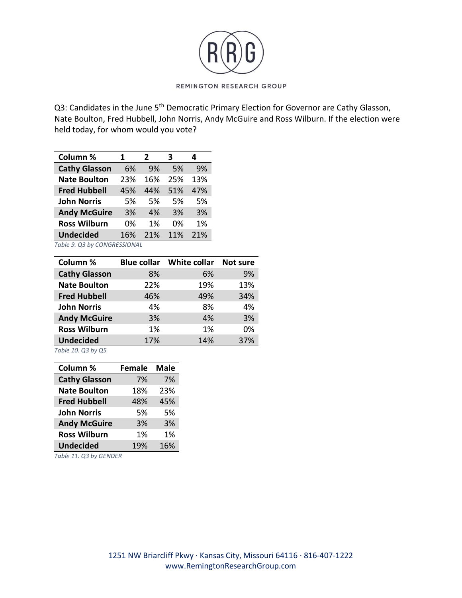

Q3: Candidates in the June 5<sup>th</sup> Democratic Primary Election for Governor are Cathy Glasson, Nate Boulton, Fred Hubbell, John Norris, Andy McGuire and Ross Wilburn. If the election were held today, for whom would you vote?

| Column %             | 1   | $\overline{\mathbf{z}}$ | з   | 4   |
|----------------------|-----|-------------------------|-----|-----|
| <b>Cathy Glasson</b> | 6%  | 9%                      | .5% | 9%  |
| <b>Nate Boulton</b>  | 23% | 16%                     | 25% | 13% |
| <b>Fred Hubbell</b>  | 45% | 44%                     | 51% | 47% |
| <b>John Norris</b>   | .5% | .5%                     | .5% | 5%  |
| <b>Andy McGuire</b>  | 3%  | 4%                      | 3%  | 3%  |
| <b>Ross Wilburn</b>  | በ%  | 1%                      | በ%  | 1%  |
| <b>Undecided</b>     | 16% | 21%                     | 11% | 21% |

*Table 9. Q3 by CONGRESSIONAL*

| Column %             |     | <b>Blue collar</b> White collar | <b>Not sure</b> |
|----------------------|-----|---------------------------------|-----------------|
| <b>Cathy Glasson</b> | 8%  | 6%                              | 9%              |
| <b>Nate Boulton</b>  | 22% | 19%                             | 13%             |
| <b>Fred Hubbell</b>  | 46% | 49%                             | 34%             |
| <b>John Norris</b>   | 4%  | 8%                              | 4%              |
| <b>Andy McGuire</b>  | 3%  | 4%                              | 3%              |
| <b>Ross Wilburn</b>  | 1%  | 1%                              | 0%              |
| <b>Undecided</b>     | 17% | 14%                             | 37%             |

*Table 10. Q3 by Q5*

| Column %               | <b>Female</b> | <b>Male</b> |
|------------------------|---------------|-------------|
| <b>Cathy Glasson</b>   | 7%            | 7%          |
| <b>Nate Boulton</b>    | 18%           | 23%         |
| <b>Fred Hubbell</b>    | 48%           | 45%         |
| <b>John Norris</b>     | 5%            | 5%          |
| <b>Andy McGuire</b>    | 3%            | 3%          |
| <b>Ross Wilburn</b>    | 1%            | 1%          |
| <b>Undecided</b>       | 19%           | 16%         |
| Table 11. Q3 by GENDER |               |             |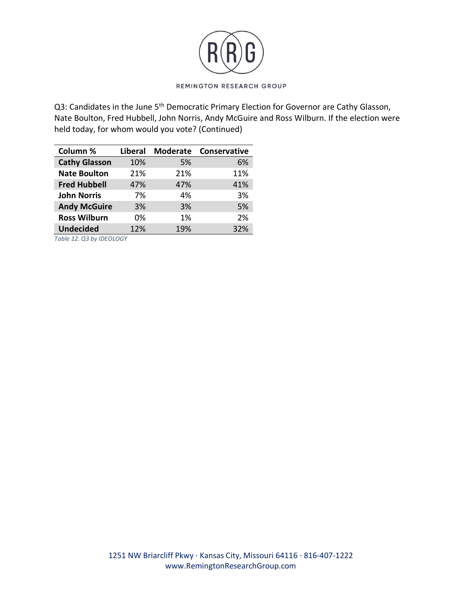

Q3: Candidates in the June 5<sup>th</sup> Democratic Primary Election for Governor are Cathy Glasson, Nate Boulton, Fred Hubbell, John Norris, Andy McGuire and Ross Wilburn. If the election were held today, for whom would you vote? (Continued)

| Column %             | Liberal |     | Moderate Conservative |
|----------------------|---------|-----|-----------------------|
| <b>Cathy Glasson</b> | 10%     | 5%  | 6%                    |
| <b>Nate Boulton</b>  | 21%     | 21% | 11%                   |
| <b>Fred Hubbell</b>  | 47%     | 47% | 41%                   |
| <b>John Norris</b>   | 7%      | 4%  | 3%                    |
| <b>Andy McGuire</b>  | 3%      | 3%  | 5%                    |
| <b>Ross Wilburn</b>  | 0%      | 1%  | 2%                    |
| <b>Undecided</b>     | 12%     | 19% | 32%                   |

*Table 12. Q3 by IDEOLOGY*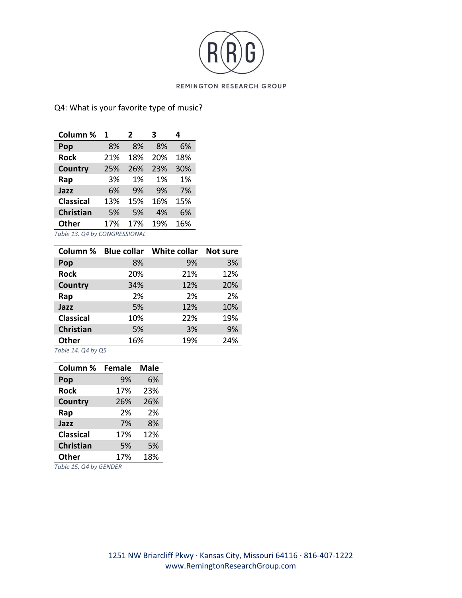

## Q4: What is your favorite type of music?

| Column %                      | 1   | 2   | З   | 4   |
|-------------------------------|-----|-----|-----|-----|
| Pop                           | 8%  | 8%  | 8%  | 6%  |
| <b>Rock</b>                   | 21% | 18% | 20% | 18% |
| Country                       | 25% | 26% | 23% | 30% |
| Rap                           | 3%  | 1%  | 1%  | 1%  |
| Jazz                          | 6%  | 9%  | 9%  | 7%  |
| <b>Classical</b>              | 13% | 15% | 16% | 15% |
| Christian                     | 5%  | 5%  | 4%  | 6%  |
| <b>Other</b>                  | 17% | 17% | 19% | 16% |
| Table 13. Q4 by CONGRESSIONAL |     |     |     |     |

| Column %         |     | Blue collar  White collar | <b>Not sure</b> |
|------------------|-----|---------------------------|-----------------|
| Pop              | 8%  | 9%                        | 3%              |
| <b>Rock</b>      | 20% | 21%                       | 12%             |
| Country          | 34% | 12%                       | 20%             |
| Rap              | 2%  | 2%                        | 2%              |
| Jazz             | 5%  | 12%                       | 10%             |
| <b>Classical</b> | 10% | 22%                       | 19%             |
| Christian        | 5%  | 3%                        | 9%              |
| <b>Other</b>     | 16% | 19%                       | 24%             |

*Table 14. Q4 by Q5*

| Column %         | <b>Female</b> | <b>Male</b> |
|------------------|---------------|-------------|
| Pop              | 9%            | 6%          |
| <b>Rock</b>      | 17%           | 23%         |
| <b>Country</b>   | 26%           | 26%         |
| Rap              | 2%            | 2%          |
| Jazz             | 7%            | 8%          |
| <b>Classical</b> | 17%           | 12%         |
| <b>Christian</b> | 5%            | 5%          |
| <b>Other</b>     | 17%           | 18%         |

*Table 15. Q4 by GENDER*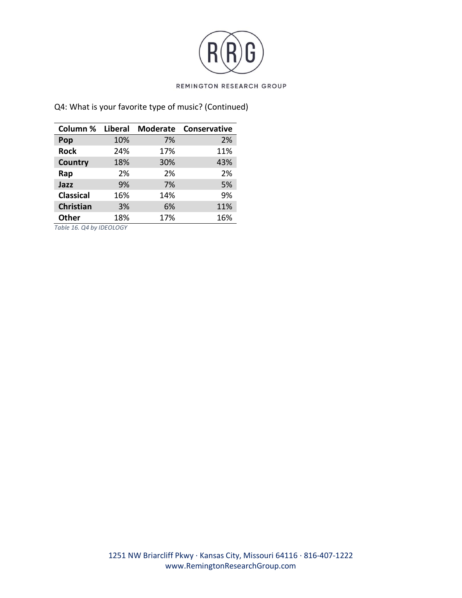

## Q4: What is your favorite type of music? (Continued)

| Column % Liberal |     | <b>Moderate</b> | <b>Conservative</b> |
|------------------|-----|-----------------|---------------------|
| Pop              | 10% | 7%              | 2%                  |
| <b>Rock</b>      | 24% | 17%             | 11%                 |
| Country          | 18% | 30%             | 43%                 |
| Rap              | 2%  | 2%              | 2%                  |
| Jazz             | 9%  | 7%              | 5%                  |
| <b>Classical</b> | 16% | 14%             | 9%                  |
| <b>Christian</b> | 3%  | 6%              | 11%                 |
| <b>Other</b>     | 18% | 17%             | 16%                 |

*Table 16. Q4 by IDEOLOGY*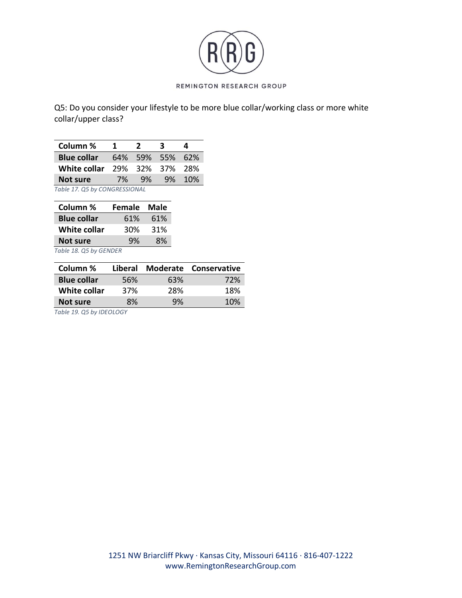

Q5: Do you consider your lifestyle to be more blue collar/working class or more white collar/upper class?

| Column %                      | .1 | $\boldsymbol{z}$ | З | Δ      |
|-------------------------------|----|------------------|---|--------|
| <b>Blue collar</b>            |    | 64% 59% 55% 62%  |   |        |
| White collar                  |    | 29% 32% 37% 28%  |   |        |
| Not sure                      | 7% | 9%               |   | 9% 10% |
| Table 17. Q5 by CONGRESSIONAL |    |                  |   |        |

| Column %            | <b>Female</b> | Male |
|---------------------|---------------|------|
| <b>Blue collar</b>  | 61%           | 61%  |
| <b>White collar</b> | 30%           | 31%  |
| <b>Not sure</b>     | 9%            | 8%   |
|                     |               |      |

*Table 18. Q5 by GENDER*

| Column %           | Liberal |     | Moderate Conservative |
|--------------------|---------|-----|-----------------------|
| <b>Blue collar</b> | 56%     | 63% | 72%                   |
| White collar       | 37%     | 28% | 18%                   |
| Not sure           | 8%      | 9%  | 10%                   |

*Table 19. Q5 by IDEOLOGY*